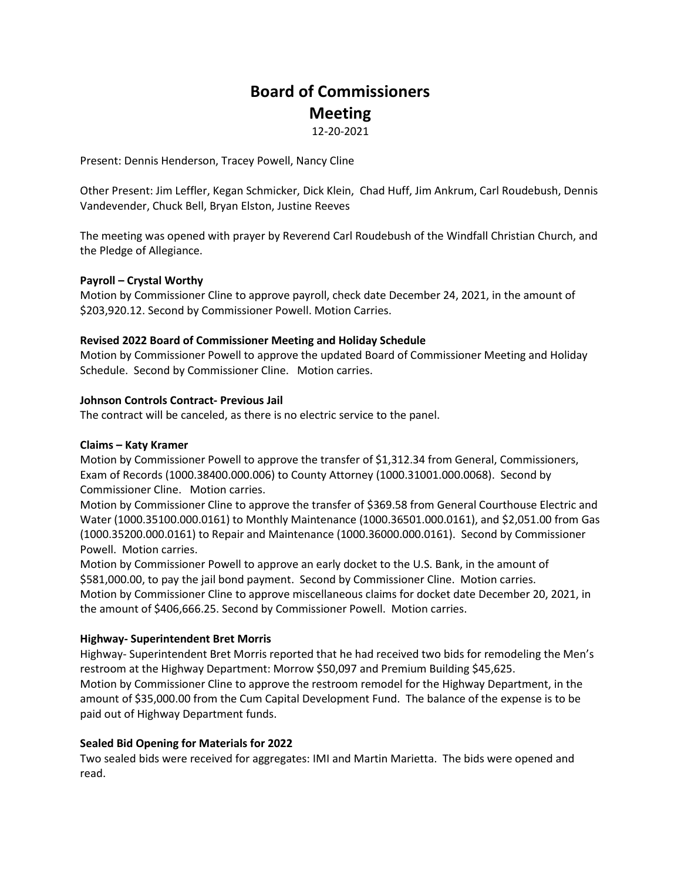# **Board of Commissioners Meeting**

12-20-2021

Present: Dennis Henderson, Tracey Powell, Nancy Cline

Other Present: Jim Leffler, Kegan Schmicker, Dick Klein, Chad Huff, Jim Ankrum, Carl Roudebush, Dennis Vandevender, Chuck Bell, Bryan Elston, Justine Reeves

The meeting was opened with prayer by Reverend Carl Roudebush of the Windfall Christian Church, and the Pledge of Allegiance.

## **Payroll – Crystal Worthy**

Motion by Commissioner Cline to approve payroll, check date December 24, 2021, in the amount of \$203,920.12. Second by Commissioner Powell. Motion Carries.

## **Revised 2022 Board of Commissioner Meeting and Holiday Schedule**

Motion by Commissioner Powell to approve the updated Board of Commissioner Meeting and Holiday Schedule. Second by Commissioner Cline. Motion carries.

## **Johnson Controls Contract- Previous Jail**

The contract will be canceled, as there is no electric service to the panel.

#### **Claims – Katy Kramer**

Motion by Commissioner Powell to approve the transfer of \$1,312.34 from General, Commissioners, Exam of Records (1000.38400.000.006) to County Attorney (1000.31001.000.0068). Second by Commissioner Cline. Motion carries.

Motion by Commissioner Cline to approve the transfer of \$369.58 from General Courthouse Electric and Water (1000.35100.000.0161) to Monthly Maintenance (1000.36501.000.0161), and \$2,051.00 from Gas (1000.35200.000.0161) to Repair and Maintenance (1000.36000.000.0161). Second by Commissioner Powell. Motion carries.

Motion by Commissioner Powell to approve an early docket to the U.S. Bank, in the amount of \$581,000.00, to pay the jail bond payment. Second by Commissioner Cline. Motion carries. Motion by Commissioner Cline to approve miscellaneous claims for docket date December 20, 2021, in the amount of \$406,666.25. Second by Commissioner Powell. Motion carries.

# **Highway- Superintendent Bret Morris**

Highway- Superintendent Bret Morris reported that he had received two bids for remodeling the Men's restroom at the Highway Department: Morrow \$50,097 and Premium Building \$45,625. Motion by Commissioner Cline to approve the restroom remodel for the Highway Department, in the amount of \$35,000.00 from the Cum Capital Development Fund. The balance of the expense is to be paid out of Highway Department funds.

# **Sealed Bid Opening for Materials for 2022**

Two sealed bids were received for aggregates: IMI and Martin Marietta. The bids were opened and read.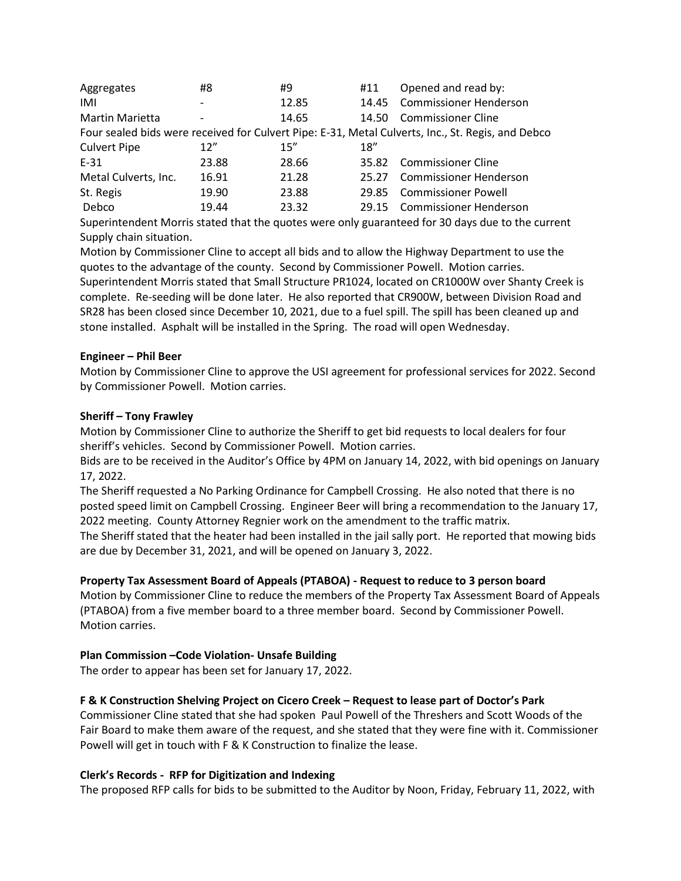| Aggregates                                                                                        | #8                       | #9    | #11   | Opened and read by:           |
|---------------------------------------------------------------------------------------------------|--------------------------|-------|-------|-------------------------------|
| IMI                                                                                               | $\overline{\phantom{a}}$ | 12.85 |       | 14.45 Commissioner Henderson  |
| <b>Martin Marietta</b>                                                                            | $\overline{\phantom{a}}$ | 14.65 | 14.50 | Commissioner Cline            |
| Four sealed bids were received for Culvert Pipe: E-31, Metal Culverts, Inc., St. Regis, and Debco |                          |       |       |                               |
| <b>Culvert Pipe</b>                                                                               | 12''                     | 15''  | 18''  |                               |
| $E-31$                                                                                            | 23.88                    | 28.66 |       | 35.82 Commissioner Cline      |
| Metal Culverts, Inc.                                                                              | 16.91                    | 21.28 | 25.27 | <b>Commissioner Henderson</b> |
| St. Regis                                                                                         | 19.90                    | 23.88 |       | 29.85 Commissioner Powell     |
| Debco                                                                                             | 19.44                    | 23.32 |       | 29.15 Commissioner Henderson  |

Superintendent Morris stated that the quotes were only guaranteed for 30 days due to the current Supply chain situation.

Motion by Commissioner Cline to accept all bids and to allow the Highway Department to use the quotes to the advantage of the county. Second by Commissioner Powell. Motion carries.

Superintendent Morris stated that Small Structure PR1024, located on CR1000W over Shanty Creek is complete. Re-seeding will be done later. He also reported that CR900W, between Division Road and SR28 has been closed since December 10, 2021, due to a fuel spill. The spill has been cleaned up and stone installed. Asphalt will be installed in the Spring. The road will open Wednesday.

## **Engineer – Phil Beer**

Motion by Commissioner Cline to approve the USI agreement for professional services for 2022. Second by Commissioner Powell. Motion carries.

## **Sheriff – Tony Frawley**

Motion by Commissioner Cline to authorize the Sheriff to get bid requests to local dealers for four sheriff's vehicles. Second by Commissioner Powell. Motion carries.

Bids are to be received in the Auditor's Office by 4PM on January 14, 2022, with bid openings on January 17, 2022.

The Sheriff requested a No Parking Ordinance for Campbell Crossing. He also noted that there is no posted speed limit on Campbell Crossing. Engineer Beer will bring a recommendation to the January 17, 2022 meeting. County Attorney Regnier work on the amendment to the traffic matrix.

The Sheriff stated that the heater had been installed in the jail sally port. He reported that mowing bids are due by December 31, 2021, and will be opened on January 3, 2022.

# **Property Tax Assessment Board of Appeals (PTABOA) - Request to reduce to 3 person board**

Motion by Commissioner Cline to reduce the members of the Property Tax Assessment Board of Appeals (PTABOA) from a five member board to a three member board. Second by Commissioner Powell. Motion carries.

# **Plan Commission –Code Violation- Unsafe Building**

The order to appear has been set for January 17, 2022.

## **F & K Construction Shelving Project on Cicero Creek – Request to lease part of Doctor's Park**

Commissioner Cline stated that she had spoken Paul Powell of the Threshers and Scott Woods of the Fair Board to make them aware of the request, and she stated that they were fine with it. Commissioner Powell will get in touch with F & K Construction to finalize the lease.

#### **Clerk's Records - RFP for Digitization and Indexing**

The proposed RFP calls for bids to be submitted to the Auditor by Noon, Friday, February 11, 2022, with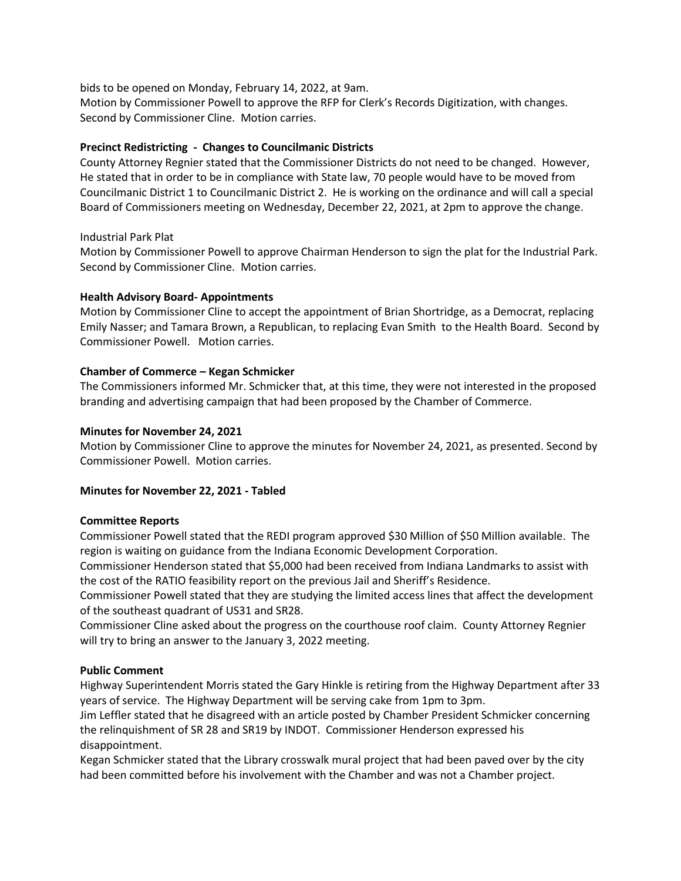bids to be opened on Monday, February 14, 2022, at 9am. Motion by Commissioner Powell to approve the RFP for Clerk's Records Digitization, with changes. Second by Commissioner Cline. Motion carries.

## **Precinct Redistricting - Changes to Councilmanic Districts**

County Attorney Regnier stated that the Commissioner Districts do not need to be changed. However, He stated that in order to be in compliance with State law, 70 people would have to be moved from Councilmanic District 1 to Councilmanic District 2. He is working on the ordinance and will call a special Board of Commissioners meeting on Wednesday, December 22, 2021, at 2pm to approve the change.

## Industrial Park Plat

Motion by Commissioner Powell to approve Chairman Henderson to sign the plat for the Industrial Park. Second by Commissioner Cline. Motion carries.

## **Health Advisory Board- Appointments**

Motion by Commissioner Cline to accept the appointment of Brian Shortridge, as a Democrat, replacing Emily Nasser; and Tamara Brown, a Republican, to replacing Evan Smith to the Health Board. Second by Commissioner Powell. Motion carries.

## **Chamber of Commerce – Kegan Schmicker**

The Commissioners informed Mr. Schmicker that, at this time, they were not interested in the proposed branding and advertising campaign that had been proposed by the Chamber of Commerce.

## **Minutes for November 24, 2021**

Motion by Commissioner Cline to approve the minutes for November 24, 2021, as presented. Second by Commissioner Powell. Motion carries.

#### **Minutes for November 22, 2021 - Tabled**

#### **Committee Reports**

Commissioner Powell stated that the REDI program approved \$30 Million of \$50 Million available. The region is waiting on guidance from the Indiana Economic Development Corporation.

Commissioner Henderson stated that \$5,000 had been received from Indiana Landmarks to assist with the cost of the RATIO feasibility report on the previous Jail and Sheriff's Residence.

Commissioner Powell stated that they are studying the limited access lines that affect the development of the southeast quadrant of US31 and SR28.

Commissioner Cline asked about the progress on the courthouse roof claim. County Attorney Regnier will try to bring an answer to the January 3, 2022 meeting.

# **Public Comment**

Highway Superintendent Morris stated the Gary Hinkle is retiring from the Highway Department after 33 years of service. The Highway Department will be serving cake from 1pm to 3pm.

Jim Leffler stated that he disagreed with an article posted by Chamber President Schmicker concerning the relinquishment of SR 28 and SR19 by INDOT. Commissioner Henderson expressed his disappointment.

Kegan Schmicker stated that the Library crosswalk mural project that had been paved over by the city had been committed before his involvement with the Chamber and was not a Chamber project.